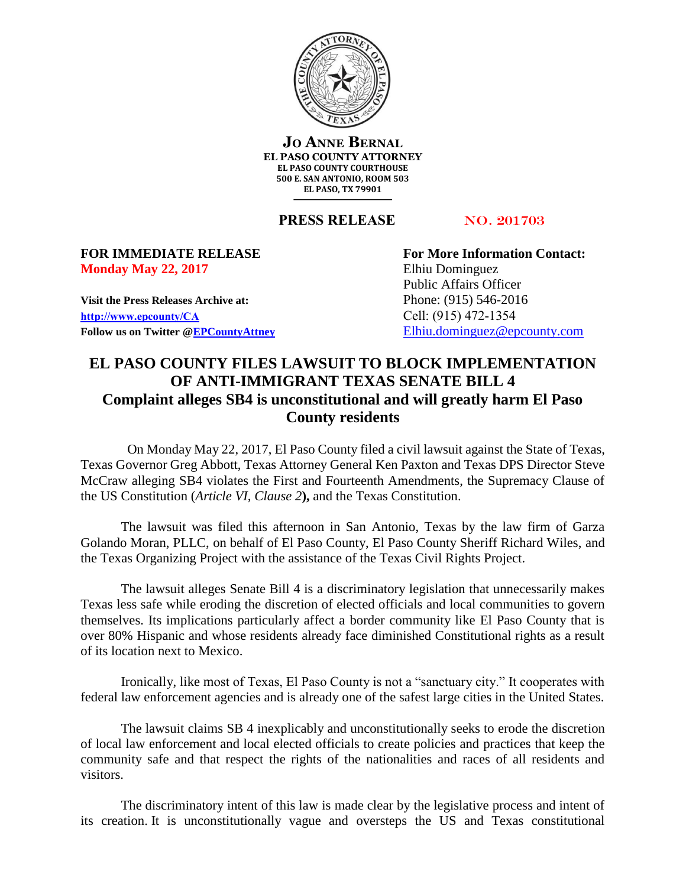

**JO ANNE BERNAL EL PASO COUNTY ATTORNEY EL PASO COUNTY COURTHOUSE 500 E. SAN ANTONIO, ROOM 503 EL PASO, TX 79901**

**PRESS RELEASE** NO. 201703

## **Monday May 22, 2017** Elhiu Dominguez

**Visit the Press Releases Archive at:** Phone: (915) 546-2016 **[http://www.epcounty/CA](http://www.epcounty/CA/releases.htm)** Cell: (915) 472-1354 Follow us on Twitter  $@EPC$ ountyAttney [Elhiu.dominguez@epcounty.com](mailto:Elhiu.dominguez@epcounty.com)

**FOR IMMEDIATE RELEASE For More Information Contact:** Public Affairs Officer

## **EL PASO COUNTY FILES LAWSUIT TO BLOCK IMPLEMENTATION OF ANTI-IMMIGRANT TEXAS SENATE BILL 4 Complaint alleges SB4 is unconstitutional and will greatly harm El Paso County residents**

On Monday May 22, 2017, El Paso County filed a civil lawsuit against the State of Texas, Texas Governor Greg Abbott, Texas Attorney General Ken Paxton and Texas DPS Director Steve McCraw alleging SB4 violates the First and Fourteenth Amendments, the Supremacy Clause of the US Constitution (*Article VI, Clause 2***),** and the Texas Constitution.

The lawsuit was filed this afternoon in San Antonio, Texas by the law firm of Garza Golando Moran, PLLC, on behalf of El Paso County, El Paso County Sheriff Richard Wiles, and the Texas Organizing Project with the assistance of the Texas Civil Rights Project.

The lawsuit alleges Senate Bill 4 is a discriminatory legislation that unnecessarily makes Texas less safe while eroding the discretion of elected officials and local communities to govern themselves. Its implications particularly affect a border community like El Paso County that is over 80% Hispanic and whose residents already face diminished Constitutional rights as a result of its location next to Mexico.

Ironically, like most of Texas, El Paso County is not a "sanctuary city." It cooperates with federal law enforcement agencies and is already one of the safest large cities in the United States.

The lawsuit claims SB 4 inexplicably and unconstitutionally seeks to erode the discretion of local law enforcement and local elected officials to create policies and practices that keep the community safe and that respect the rights of the nationalities and races of all residents and visitors.

The discriminatory intent of this law is made clear by the legislative process and intent of its creation. It is unconstitutionally vague and oversteps the US and Texas constitutional